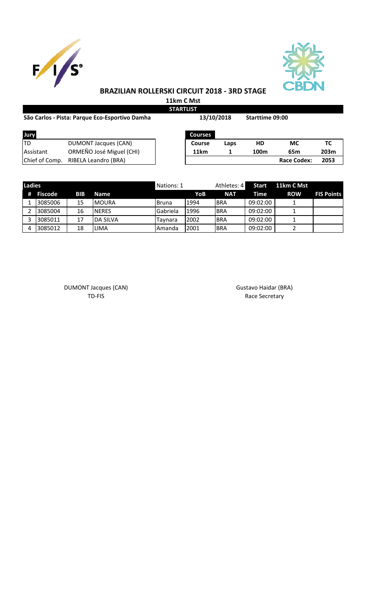



## **BRAZILIAN ROLLERSKI CIRCUIT 2018 - 3RD STAGE**

**11km C Mst STARTLIST**

| São Carlos - Pista: Parque Eco-Esportivo Damha | 13/10/2018                  |         | <b>Starttime 09:00</b> |                  |                    |      |
|------------------------------------------------|-----------------------------|---------|------------------------|------------------|--------------------|------|
| Jury                                           |                             | Courses |                        |                  |                    |      |
| ltd                                            | <b>DUMONT Jacques (CAN)</b> | Course  | Laps                   | HD               | МC                 | TC   |
| Assistant                                      | ORMEÑO José Miguel (CHI)    | 11km    |                        | 100 <sub>m</sub> | 65 <sub>m</sub>    | 203m |
| Chief of Comp.                                 | RIBELA Leandro (BRA)        |         |                        |                  | <b>Race Codex:</b> | 2053 |

| <b>Ladies</b> |           |            |                 | Nations: 1    |      | Athletes: 4 | Start    | 11km C Mst |                   |
|---------------|-----------|------------|-----------------|---------------|------|-------------|----------|------------|-------------------|
|               | # Fiscode | <b>BIB</b> | <b>Name</b>     |               | YoB  | <b>NAT</b>  | Time     | <b>ROW</b> | <b>EIS Points</b> |
|               | 3085006   | 15         | <b>IMOURA</b>   | <b>Bruna</b>  | 1994 | IBRA        | 09:02:00 |            |                   |
|               | 3085004   | 16         | <b>NERES</b>    | Gabriela      | 1996 | <b>IBRA</b> | 09:02:00 |            |                   |
|               | 3085011   | 17         | <b>DA SILVA</b> | Tavnara       | 2002 | IBRA        | 09:02:00 |            |                   |
| 4             | 3085012   | 18         | LIMA            | <b>Amanda</b> | 2001 | <b>BRA</b>  | 09:02:00 |            |                   |

DUMONT Jacques (CAN) Gustavo Haidar (BRA) Gustavo Haidar (BRA) Gustavo Haidar (BRA)

Race Secretary